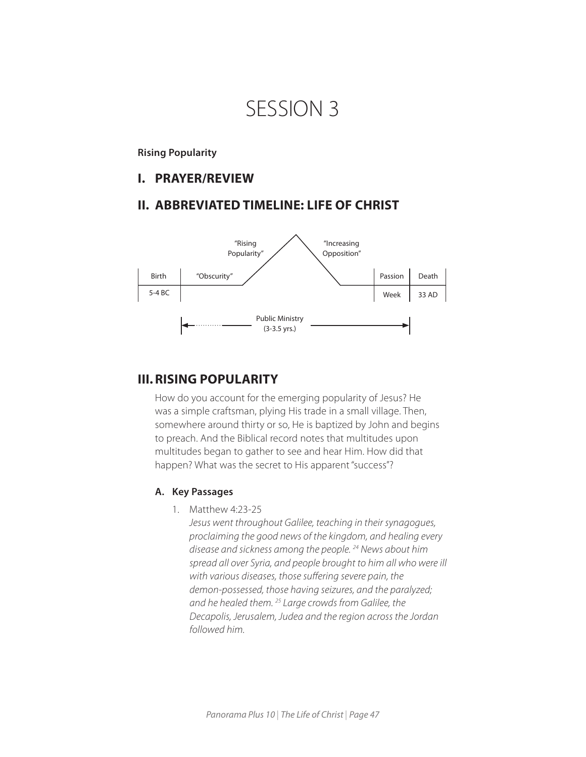# SESSION 3

## **Rising Popularity**

## **I. PRAYER/REVIEW**

## **II. ABBREVIATED TIMELINE: LIFE OF CHRIST**



# **III.RISING POPULARITY**

How do you account for the emerging popularity of Jesus? He was a simple craftsman, plying His trade in a small village. Then, somewhere around thirty or so, He is baptized by John and begins to preach. And the Biblical record notes that multitudes upon multitudes began to gather to see and hear Him. How did that happen? What was the secret to His apparent "success"?

#### **A. Key Passages**

1. Matthew 4:23-25

*Jesus went throughout Galilee, teaching in their synagogues, proclaiming the good news of the kingdom, and healing every disease and sickness among the people. 24 News about him spread all over Syria, and people brought to him all who were ill with various diseases, those suffering severe pain, the demon-possessed, those having seizures, and the paralyzed; and he healed them. 25 Large crowds from Galilee, the Decapolis, Jerusalem, Judea and the region across the Jordan followed him.*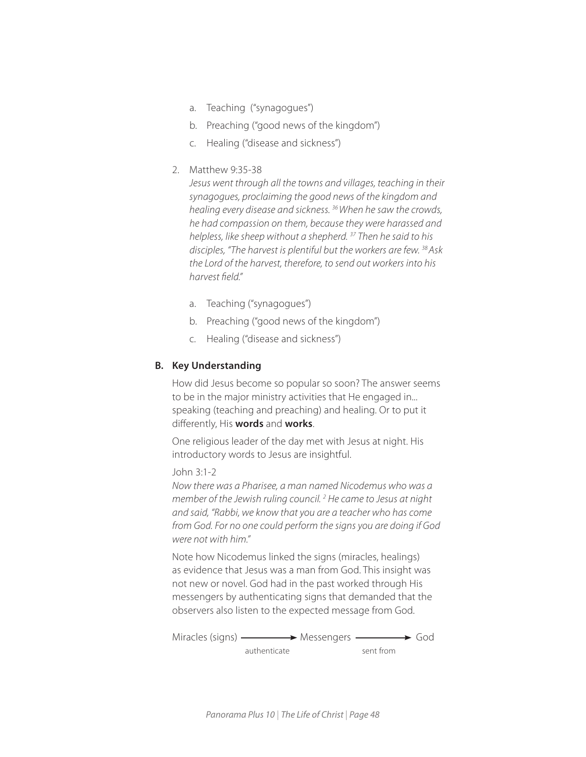- a. Teaching ("synagogues")
- b. Preaching ("good news of the kingdom")
- c. Healing ("disease and sickness")

## 2. Matthew 9:35-38

*Jesus went through all the towns and villages, teaching in their synagogues, proclaiming the good news of the kingdom and healing every disease and sickness. 36 When he saw the crowds, he had compassion on them, because they were harassed and helpless, like sheep without a shepherd. 37 Then he said to his disciples, "The harvest is plentiful but the workers are few. 38 Ask the Lord of the harvest, therefore, to send out workers into his harvest field."* 

- a. Teaching ("synagogues")
- b. Preaching ("good news of the kingdom")
- c. Healing ("disease and sickness")

## **B. Key Understanding**

How did Jesus become so popular so soon? The answer seems to be in the major ministry activities that He engaged in... speaking (teaching and preaching) and healing. Or to put it differently, His **words** and **works**.

One religious leader of the day met with Jesus at night. His introductory words to Jesus are insightful.

## John 3:1-2

*Now there was a Pharisee, a man named Nicodemus who was a member of the Jewish ruling council. 2 He came to Jesus at night and said, "Rabbi, we know that you are a teacher who has come from God. For no one could perform the signs you are doing if God were not with him."*

Note how Nicodemus linked the signs (miracles, healings) as evidence that Jesus was a man from God. This insight was not new or novel. God had in the past worked through His messengers by authenticating signs that demanded that the observers also listen to the expected message from God.

```
Miracles (signs) —————> Messengers —————> God
authenticate sent from
```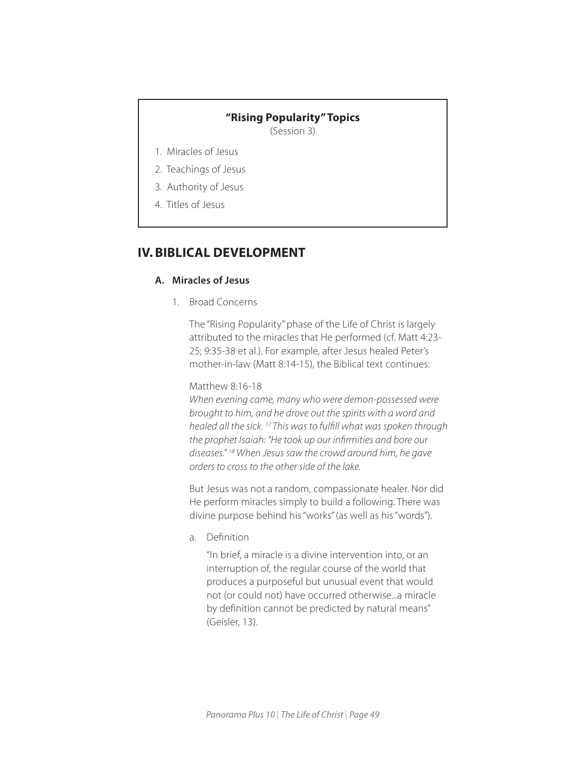## **"Rising Popularity" Topics**

(Session 3)

- 1. Miracles of Jesus
- 2. Teachings of Jesus
- 3. Authority of Jesus
- 4. Titles of Jesus

# **IV. BIBLICAL DEVELOPMENT**

## **A. Miracles of Jesus**

1. Broad Concerns

The "Rising Popularity" phase of the Life of Christ is largely attributed to the miracles that He performed (cf. Matt 4:23- 25; 9:35-38 et al.). For example, after Jesus healed Peter's mother-in-law (Matt 8:14-15), the Biblical text continues:

#### Matthew 8:16-18

*When evening came, many who were demon-possessed were brought to him, and he drove out the spirits with a word and healed all the sick. 17 This was to fulfill what was spoken through the prophet Isaiah: "He took up our infirmities and bore our diseases." 18 When Jesus saw the crowd around him, he gave orders to cross to the other side of the lake.* 

But Jesus was not a random, compassionate healer. Nor did He perform miracles simply to build a following. There was divine purpose behind his "works" (as well as his "words").

a. Definition

"In brief, a miracle is a divine intervention into, or an interruption of, the regular course of the world that produces a purposeful but unusual event that would not (or could not) have occurred otherwise...a miracle by definition cannot be predicted by natural means" (Geisler, 13).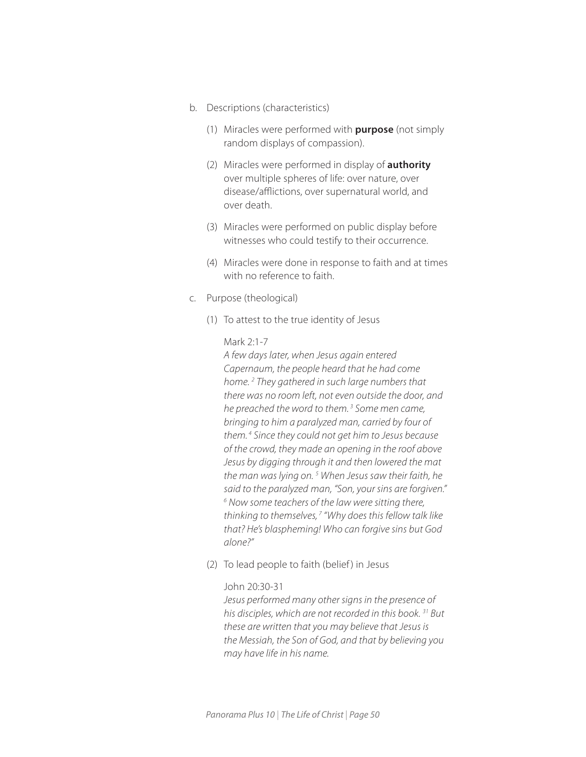- b. Descriptions (characteristics)
	- (1) Miracles were performed with **purpose** (not simply random displays of compassion).
	- (2) Miracles were performed in display of **authority** over multiple spheres of life: over nature, over disease/afflictions, over supernatural world, and over death.
	- (3) Miracles were performed on public display before witnesses who could testify to their occurrence.
	- (4) Miracles were done in response to faith and at times with no reference to faith.
- c. Purpose (theological)
	- (1) To attest to the true identity of Jesus

#### Mark 2:1-7

*A few days later, when Jesus again entered Capernaum, the people heard that he had come home. 2 They gathered in such large numbers that there was no room left, not even outside the door, and he preached the word to them. 3 Some men came, bringing to him a paralyzed man, carried by four of them. 4 Since they could not get him to Jesus because of the crowd, they made an opening in the roof above Jesus by digging through it and then lowered the mat the man was lying on. 5 When Jesus saw their faith, he said to the paralyzed man, "Son, your sins are forgiven." 6 Now some teachers of the law were sitting there, thinking to themselves, 7 "Why does this fellow talk like that? He's blaspheming! Who can forgive sins but God alone?"* 

(2) To lead people to faith (belief) in Jesus

#### John 20:30-31

*Jesus performed many other signs in the presence of his disciples, which are not recorded in this book. 31 But these are written that you may believe that Jesus is the Messiah, the Son of God, and that by believing you may have life in his name.*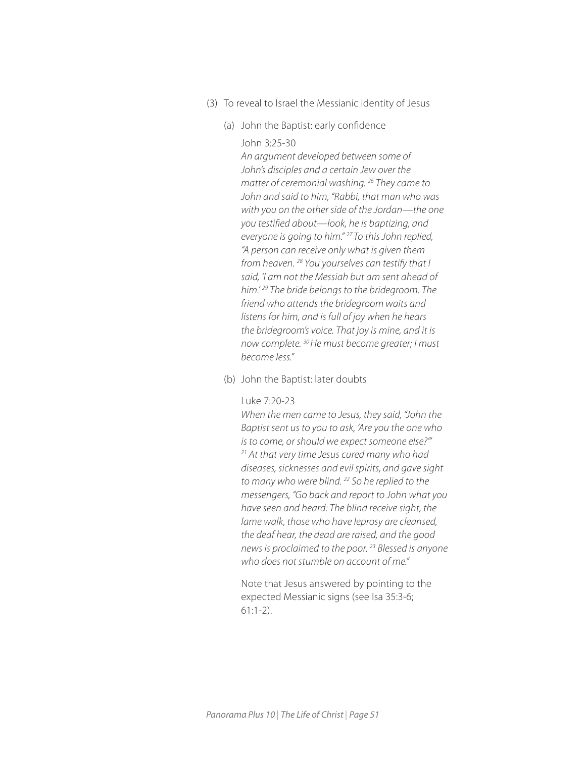- (3) To reveal to Israel the Messianic identity of Jesus
	- (a) John the Baptist: early confidence

#### John 3:25-30

*An argument developed between some of John's disciples and a certain Jew over the matter of ceremonial washing. 26 They came to John and said to him, "Rabbi, that man who was with you on the other side of the Jordan—the one you testified about—look, he is baptizing, and everyone is going to him." 27 To this John replied, "A person can receive only what is given them from heaven. 28 You yourselves can testify that I said, 'I am not the Messiah but am sent ahead of him.' 29 The bride belongs to the bridegroom. The friend who attends the bridegroom waits and listens for him, and is full of joy when he hears the bridegroom's voice. That joy is mine, and it is now complete. 30 He must become greater; I must become less."* 

(b) John the Baptist: later doubts

#### Luke 7:20-23

*When the men came to Jesus, they said, "John the Baptist sent us to you to ask, 'Are you the one who is to come, or should we expect someone else?'" 21 At that very time Jesus cured many who had diseases, sicknesses and evil spirits, and gave sight to many who were blind. 22 So he replied to the messengers, "Go back and report to John what you have seen and heard: The blind receive sight, the lame walk, those who have leprosy are cleansed, the deaf hear, the dead are raised, and the good news is proclaimed to the poor. 23 Blessed is anyone who does not stumble on account of me."*

Note that Jesus answered by pointing to the expected Messianic signs (see Isa 35:3-6; 61:1-2).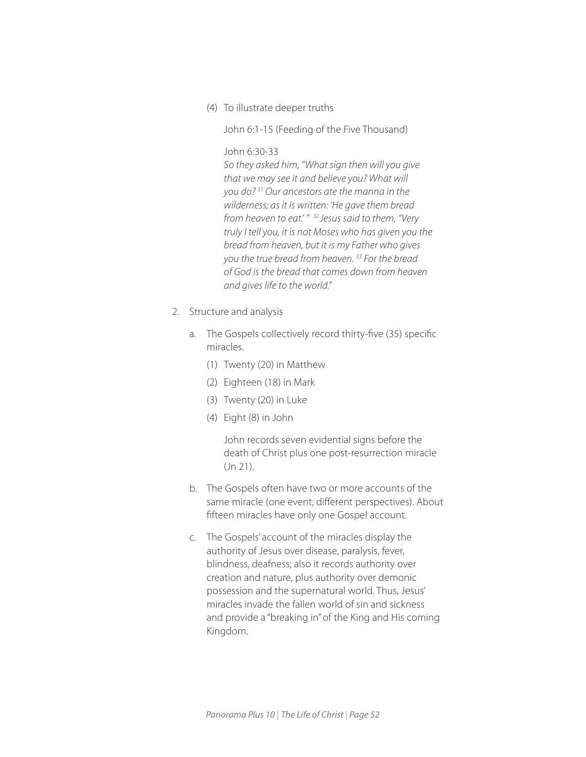(4) To illustrate deeper truths

John 6:1-15 (Feeding of the Five Thousand)

## John 6:30-33

*So they asked him, "What sign then will you give that we may see it and believe you? What will you do? 31 Our ancestors ate the manna in the wilderness; as it is written: 'He gave them bread from heaven to eat.' " 32 Jesus said to them, "Very truly I tell you, it is not Moses who has given you the bread from heaven, but it is my Father who gives you the true bread from heaven. 33 For the bread of God is the bread that comes down from heaven and gives life to the world."*

- 2. Structure and analysis
	- a. The Gospels collectively record thirty-five (35) specific miracles.
		- (1) Twenty (20) in Matthew
		- (2) Eighteen (18) in Mark
		- (3) Twenty (20) in Luke
		- (4) Eight (8) in John

John records seven evidential signs before the death of Christ plus one post-resurrection miracle (Jn 21).

- b. The Gospels often have two or more accounts of the same miracle (one event; different perspectives). About fifteen miracles have only one Gospel account.
- c. The Gospels' account of the miracles display the authority of Jesus over disease, paralysis, fever, blindness, deafness; also it records authority over creation and nature, plus authority over demonic possession and the supernatural world. Thus, Jesus' miracles invade the fallen world of sin and sickness and provide a "breaking in" of the King and His coming Kingdom.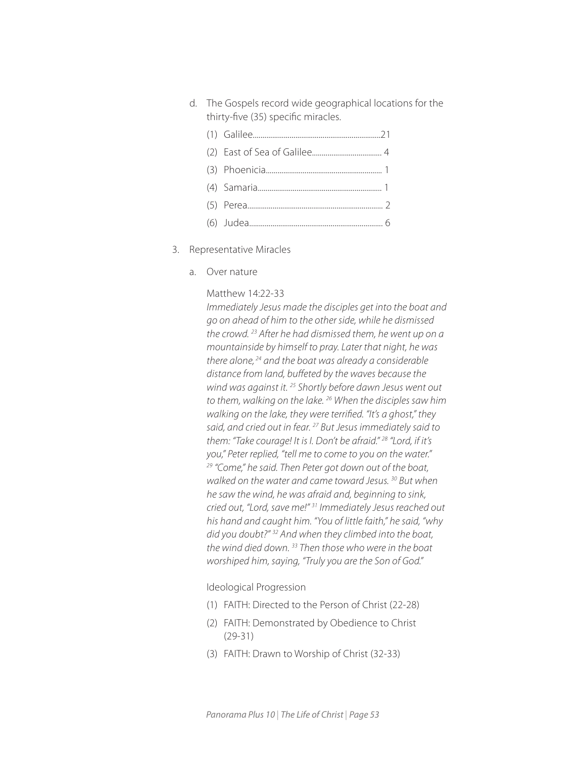- d. The Gospels record wide geographical locations for the thirty-five (35) specific miracles.
	- (1) Galilee..................................................................21 (2) East of Sea of Galilee.................................... 4 (3) Phoenicia............................................................ 1 (4) Samaria................................................................ 1 (5) Perea...................................................................... 2 (6) Judea..................................................................... 6
- 3. Representative Miracles
	- a. Over nature

#### Matthew 14:22-33

*Immediately Jesus made the disciples get into the boat and go on ahead of him to the other side, while he dismissed the crowd. 23 After he had dismissed them, he went up on a mountainside by himself to pray. Later that night, he was there alone, 24 and the boat was already a considerable distance from land, buffeted by the waves because the wind was against it. 25 Shortly before dawn Jesus went out to them, walking on the lake. 26 When the disciples saw him walking on the lake, they were terrified. "It's a ghost," they said, and cried out in fear. 27 But Jesus immediately said to them: "Take courage! It is I. Don't be afraid." 28 "Lord, if it's you," Peter replied, "tell me to come to you on the water." 29 "Come," he said. Then Peter got down out of the boat, walked on the water and came toward Jesus. 30 But when he saw the wind, he was afraid and, beginning to sink, cried out, "Lord, save me!" 31 Immediately Jesus reached out his hand and caught him. "You of little faith," he said, "why did you doubt?" 32 And when they climbed into the boat, the wind died down. 33 Then those who were in the boat worshiped him, saying, "Truly you are the Son of God."*

#### Ideological Progression

- (1) FAITH: Directed to the Person of Christ (22-28)
- (2) FAITH: Demonstrated by Obedience to Christ (29-31)
- (3) FAITH: Drawn to Worship of Christ (32-33)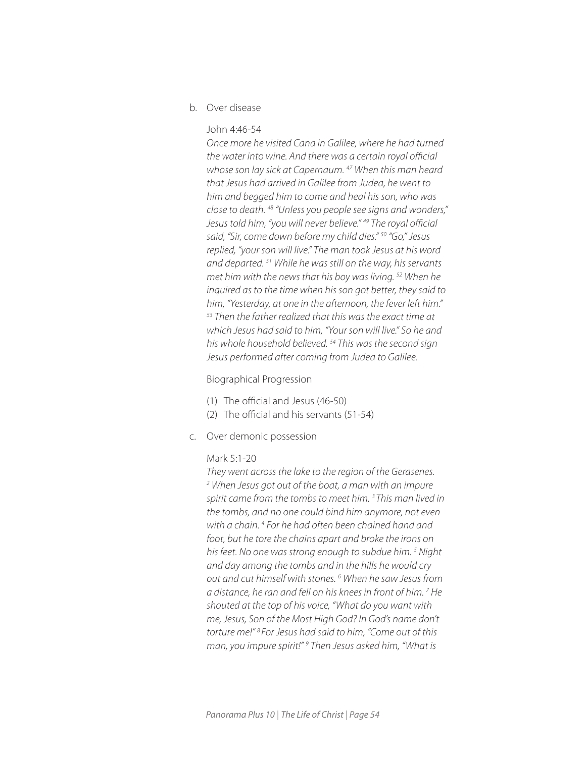b. Over disease

#### John 4:46-54

*Once more he visited Cana in Galilee, where he had turned the water into wine. And there was a certain royal official whose son lay sick at Capernaum. 47 When this man heard that Jesus had arrived in Galilee from Judea, he went to him and begged him to come and heal his son, who was close to death. 48 "Unless you people see signs and wonders," Jesus told him, "you will never believe." 49 The royal official said, "Sir, come down before my child dies." 50 "Go," Jesus replied, "your son will live." The man took Jesus at his word and departed. 51 While he was still on the way, his servants met him with the news that his boy was living. 52 When he inquired as to the time when his son got better, they said to him, "Yesterday, at one in the afternoon, the fever left him." 53 Then the father realized that this was the exact time at which Jesus had said to him, "Your son will live." So he and his whole household believed. 54 This was the second sign Jesus performed after coming from Judea to Galilee.* 

#### Biographical Progression

- (1) The official and Jesus (46-50)
- (2) The official and his servants (51-54)
- c. Over demonic possession

#### Mark 5:1-20

*They went across the lake to the region of the Gerasenes. 2 When Jesus got out of the boat, a man with an impure spirit came from the tombs to meet him. 3 This man lived in the tombs, and no one could bind him anymore, not even*  with a chain.<sup>4</sup> For he had often been chained hand and *foot, but he tore the chains apart and broke the irons on his feet. No one was strong enough to subdue him. 5 Night and day among the tombs and in the hills he would cry out and cut himself with stones. 6 When he saw Jesus from a distance, he ran and fell on his knees in front of him. 7 He shouted at the top of his voice, "What do you want with me, Jesus, Son of the Most High God? In God's name don't torture me!" 8 For Jesus had said to him, "Come out of this man, you impure spirit!" 9 Then Jesus asked him, "What is*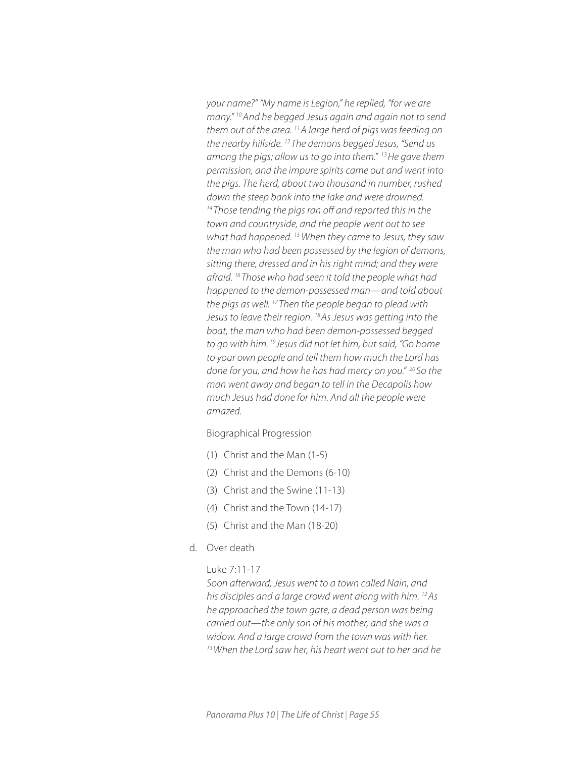*your name?" "My name is Legion," he replied, "for we are many." 10 And he begged Jesus again and again not to send them out of the area. 11 A large herd of pigs was feeding on the nearby hillside. 12 The demons begged Jesus, "Send us among the pigs; allow us to go into them." 13 He gave them permission, and the impure spirits came out and went into the pigs. The herd, about two thousand in number, rushed down the steep bank into the lake and were drowned. 14 Those tending the pigs ran off and reported this in the town and countryside, and the people went out to see what had happened. 15 When they came to Jesus, they saw the man who had been possessed by the legion of demons, sitting there, dressed and in his right mind; and they were afraid. 16 Those who had seen it told the people what had happened to the demon-possessed man—and told about the pigs as well. 17 Then the people began to plead with Jesus to leave their region. 18 As Jesus was getting into the boat, the man who had been demon-possessed begged to go with him. 19 Jesus did not let him, but said, "Go home to your own people and tell them how much the Lord has done for you, and how he has had mercy on you." 20 So the man went away and began to tell in the Decapolis how much Jesus had done for him. And all the people were amazed.*

Biographical Progression

- (1) Christ and the Man (1-5)
- (2) Christ and the Demons (6-10)
- (3) Christ and the Swine (11-13)
- (4) Christ and the Town (14-17)
- (5) Christ and the Man (18-20)
- d. Over death

## Luke 7:11-17

*Soon afterward, Jesus went to a town called Nain, and his disciples and a large crowd went along with him. 12 As he approached the town gate, a dead person was being carried out—the only son of his mother, and she was a widow. And a large crowd from the town was with her. 13 When the Lord saw her, his heart went out to her and he*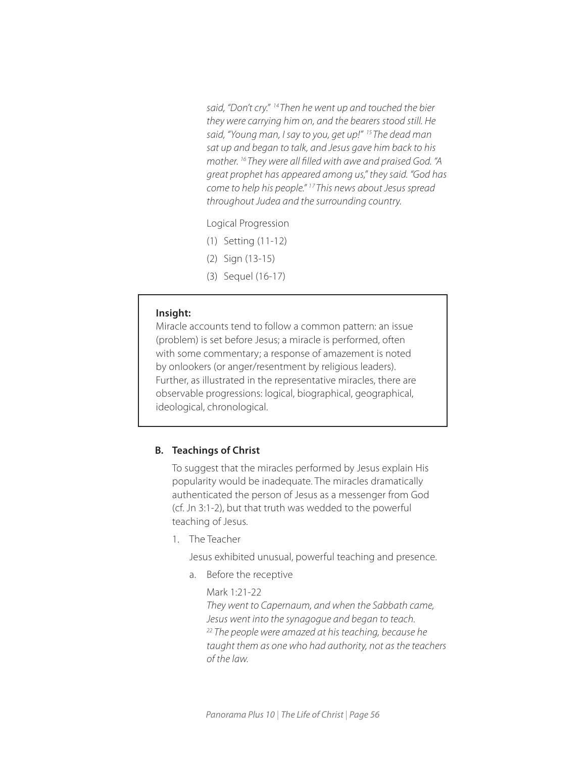*said, "Don't cry." 14 Then he went up and touched the bier they were carrying him on, and the bearers stood still. He said, "Young man, I say to you, get up!" 15 The dead man sat up and began to talk, and Jesus gave him back to his mother. 16 They were all filled with awe and praised God. "A great prophet has appeared among us," they said. "God has come to help his people." 1 7 This news about Jesus spread throughout Judea and the surrounding country.*

Logical Progression

- (1) Setting (11-12)
- (2) Sign (13-15)
- (3) Sequel (16-17)

#### **Insight:**

I

I

Miracle accounts tend to follow a common pattern: an issue (problem) is set before Jesus; a miracle is performed, often with some commentary; a response of amazement is noted by onlookers (or anger/resentment by religious leaders). Further, as illustrated in the representative miracles, there are observable progressions: logical, biographical, geographical, ideological, chronological.

#### **B. Teachings of Christ**

To suggest that the miracles performed by Jesus explain His popularity would be inadequate. The miracles dramatically authenticated the person of Jesus as a messenger from God (cf. Jn 3:1-2), but that truth was wedded to the powerful teaching of Jesus.

1. The Teacher

Jesus exhibited unusual, powerful teaching and presence.

a. Before the receptive

 Mark 1:21-22 *They went to Capernaum, and when the Sabbath came, Jesus went into the synagogue and began to teach. 22 The people were amazed at his teaching, because he taught them as one who had authority, not as the teachers of the law.*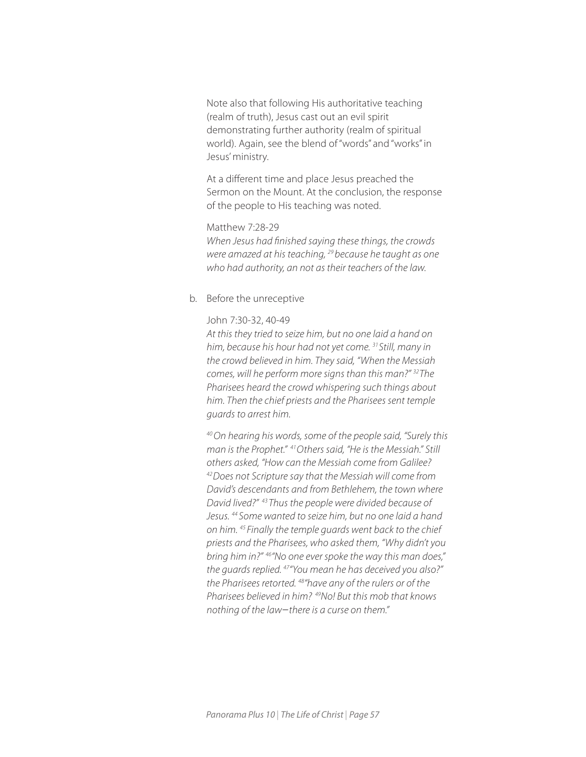Note also that following His authoritative teaching (realm of truth), Jesus cast out an evil spirit demonstrating further authority (realm of spiritual world). Again, see the blend of "words" and "works" in Jesus' ministry.

At a different time and place Jesus preached the Sermon on the Mount. At the conclusion, the response of the people to His teaching was noted.

## Matthew 7:28-29

*When Jesus had finished saying these things, the crowds were amazed at his teaching, 29 because he taught as one who had authority, an not as their teachers of the law.* 

#### b. Before the unreceptive

#### John 7:30-32, 40-49

*At this they tried to seize him, but no one laid a hand on him, because his hour had not yet come. 31 Still, many in the crowd believed in him. They said, "When the Messiah comes, will he perform more signs than this man?" 32 The Pharisees heard the crowd whispering such things about him. Then the chief priests and the Pharisees sent temple guards to arrest him.* 

*40 On hearing his words, some of the people said, "Surely this man is the Prophet." 41 Others said, "He is the Messiah." Still others asked, "How can the Messiah come from Galilee? 42 Does not Scripture say that the Messiah will come from David's descendants and from Bethlehem, the town where David lived?" 43 Thus the people were divided because of Jesus. 44 Some wanted to seize him, but no one laid a hand on him. 45 Finally the temple guards went back to the chief priests and the Pharisees, who asked them, "Why didn't you bring him in?" 46"No one ever spoke the way this man does," the guards replied. 47"You mean he has deceived you also?" the Pharisees retorted. 48"have any of the rulers or of the Pharisees believed in him? 49No! But this mob that knows nothing of the law*−*there is a curse on them."*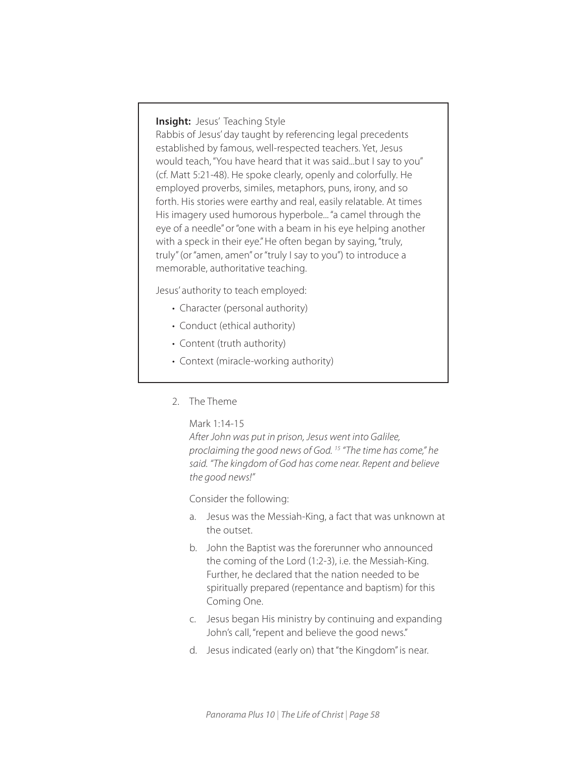## **Insight:** Jesus' Teaching Style

Rabbis of Jesus' day taught by referencing legal precedents established by famous, well-respected teachers. Yet, Jesus would teach, "You have heard that it was said...but I say to you" (cf. Matt 5:21-48). He spoke clearly, openly and colorfully. He employed proverbs, similes, metaphors, puns, irony, and so forth. His stories were earthy and real, easily relatable. At times His imagery used humorous hyperbole... "a camel through the eye of a needle" or "one with a beam in his eye helping another with a speck in their eye." He often began by saying, "truly, truly" (or "amen, amen" or "truly I say to you") to introduce a memorable, authoritative teaching.

Jesus' authority to teach employed:

- Character (personal authority)
- Conduct (ethical authority)
- Content (truth authority)
- Context (miracle-working authority)
- 2. The Theme

Mark 1:14-15

*After John was put in prison, Jesus went into Galilee, proclaiming the good news of God. 15 "The time has come," he said. "The kingdom of God has come near. Repent and believe the good news!"* 

Consider the following:

- a. Jesus was the Messiah-King, a fact that was unknown at the outset.
- b. John the Baptist was the forerunner who announced the coming of the Lord (1:2-3), i.e. the Messiah-King. Further, he declared that the nation needed to be spiritually prepared (repentance and baptism) for this Coming One.
- c. Jesus began His ministry by continuing and expanding John's call, "repent and believe the good news."
- d. Jesus indicated (early on) that "the Kingdom" is near.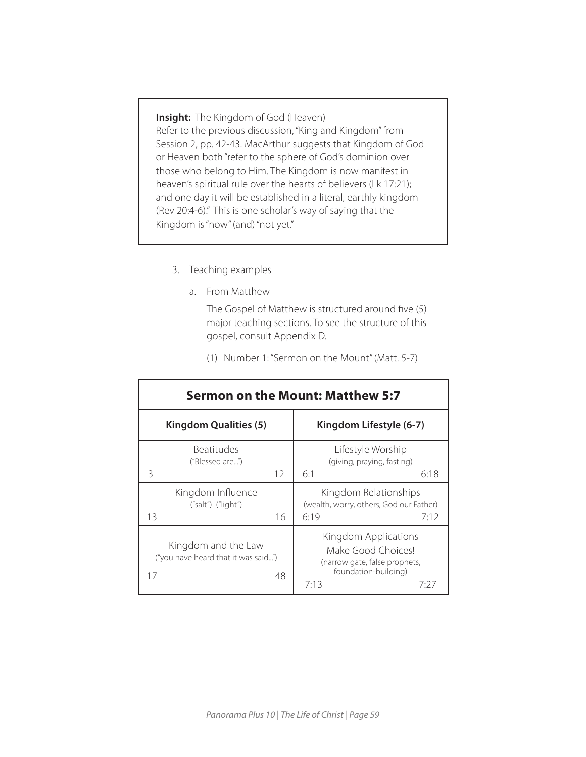**Insight:** The Kingdom of God (Heaven) Refer to the previous discussion, "King and Kingdom" from Session 2, pp. 42-43. MacArthur suggests that Kingdom of God or Heaven both "refer to the sphere of God's dominion over those who belong to Him. The Kingdom is now manifest in heaven's spiritual rule over the hearts of believers (Lk 17:21); and one day it will be established in a literal, earthly kingdom (Rev 20:4-6)." This is one scholar's way of saying that the Kingdom is "now" (and) "not yet."

- 3. Teaching examples
	- a. From Matthew

The Gospel of Matthew is structured around five (5) major teaching sections. To see the structure of this gospel, consult Appendix D.

(1) Number 1: "Sermon on the Mount" (Matt. 5-7)

| <b>Sermon on the Mount: Matthew 5:7</b>                                |                                                                                                                     |  |  |  |  |  |
|------------------------------------------------------------------------|---------------------------------------------------------------------------------------------------------------------|--|--|--|--|--|
| <b>Kingdom Qualities (5)</b>                                           | Kingdom Lifestyle (6-7)                                                                                             |  |  |  |  |  |
| <b>Beatitudes</b><br>("Blessed are")<br>12<br>3                        | Lifestyle Worship<br>(giving, praying, fasting)<br>6:18<br>6:1                                                      |  |  |  |  |  |
| Kingdom Influence<br>$("salt")$ $("light")$<br>16<br>13                | Kingdom Relationships<br>(wealth, worry, others, God our Father)<br>6:19<br>7:12                                    |  |  |  |  |  |
| Kingdom and the Law<br>("you have heard that it was said")<br>17<br>48 | Kingdom Applications<br>Make Good Choices!<br>(narrow gate, false prophets,<br>foundation-building)<br>7:13<br>7:27 |  |  |  |  |  |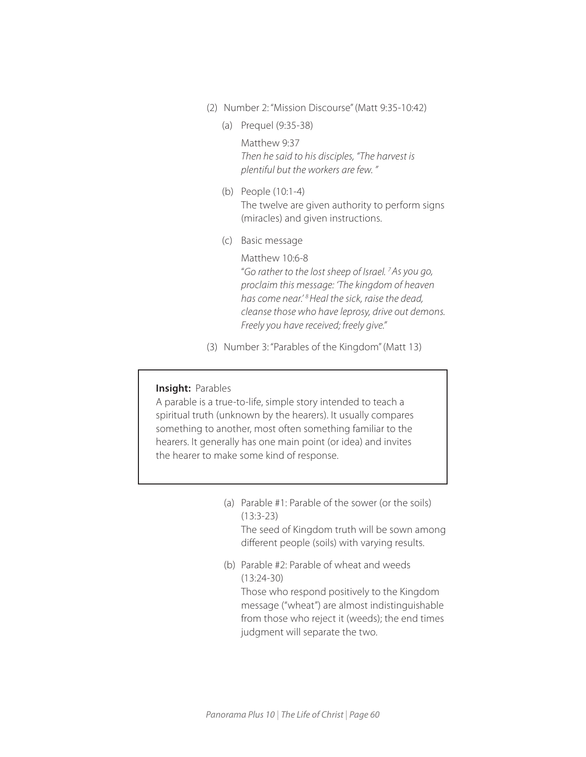- (2) Number 2: "Mission Discourse" (Matt 9:35-10:42)
	- (a) Prequel (9:35-38)

Matthew 9:37 *Then he said to his disciples, "The harvest is plentiful but the workers are few. "*

- (b) People (10:1-4) The twelve are given authority to perform signs (miracles) and given instructions.
- (c) Basic message

Matthew 10:6-8 "*Go rather to the lost sheep of Israel. 7 As you go, proclaim this message: 'The kingdom of heaven has come near.' 8 Heal the sick, raise the dead, cleanse those who have leprosy, drive out demons. Freely you have received; freely give."* 

(3) Number 3: "Parables of the Kingdom" (Matt 13)

## **Insight: Parables**

ſ

A parable is a true-to-life, simple story intended to teach a spiritual truth (unknown by the hearers). It usually compares something to another, most often something familiar to the hearers. It generally has one main point (or idea) and invites the hearer to make some kind of response.

- (a) Parable #1: Parable of the sower (or the soils) (13:3-23) The seed of Kingdom truth will be sown among different people (soils) with varying results.
- (b) Parable #2: Parable of wheat and weeds (13:24-30) Those who respond positively to the Kingdom message ("wheat") are almost indistinguishable from those who reject it (weeds); the end times judgment will separate the two.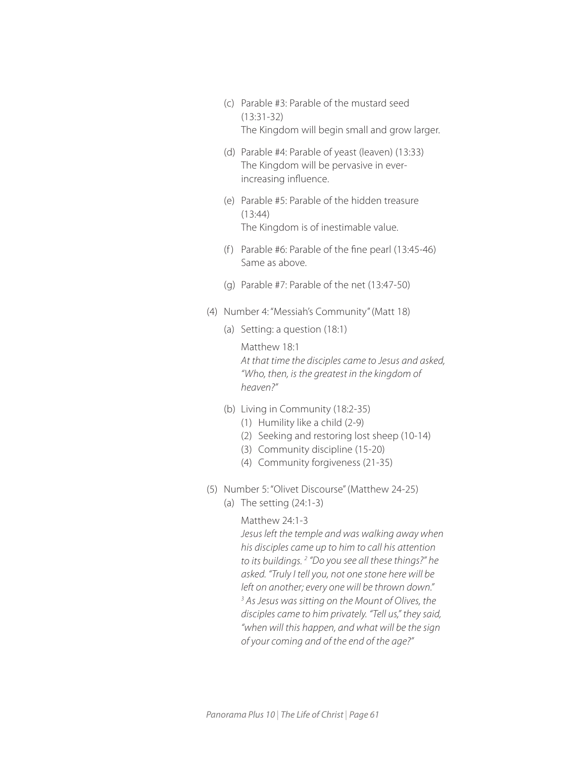- (c) Parable #3: Parable of the mustard seed (13:31-32) The Kingdom will begin small and grow larger.
- (d) Parable #4: Parable of yeast (leaven) (13:33) The Kingdom will be pervasive in everincreasing influence.
- (e) Parable #5: Parable of the hidden treasure (13:44) The Kingdom is of inestimable value.
- (f) Parable  $#6$ : Parable of the fine pearl  $(13:45-46)$ Same as above.
- (g) Parable #7: Parable of the net (13:47-50)
- (4) Number 4: "Messiah's Community" (Matt 18)
	- (a) Setting: a question (18:1)

 Matthew 18:1 *At that time the disciples came to Jesus and asked, "Who, then, is the greatest in the kingdom of heaven?"*

- (b) Living in Community (18:2-35)
	- (1) Humility like a child (2-9)
	- (2) Seeking and restoring lost sheep (10-14)
	- (3) Community discipline (15-20)
	- (4) Community forgiveness (21-35)
- (5) Number 5: "Olivet Discourse" (Matthew 24-25)
	- (a) The setting (24:1-3)

## Matthew 24:1-3

*Jesus left the temple and was walking away when his disciples came up to him to call his attention to its buildings. 2 "Do you see all these things?" he asked. "Truly I tell you, not one stone here will be left on another; every one will be thrown down." 3 As Jesus was sitting on the Mount of Olives, the disciples came to him privately. "Tell us," they said, "when will this happen, and what will be the sign of your coming and of the end of the age?"*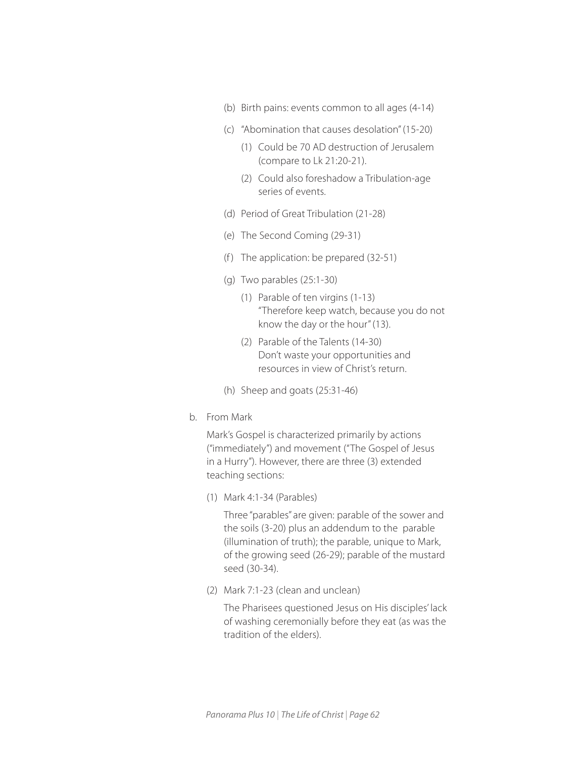- (b) Birth pains: events common to all ages (4-14)
- (c) "Abomination that causes desolation" (15-20)
	- (1) Could be 70 AD destruction of Jerusalem (compare to Lk 21:20-21).
	- (2) Could also foreshadow a Tribulation-age series of events.
- (d) Period of Great Tribulation (21-28)
- (e) The Second Coming (29-31)
- (f) The application: be prepared  $(32-51)$
- (g) Two parables (25:1-30)
	- (1) Parable of ten virgins (1-13) "Therefore keep watch, because you do not know the day or the hour" (13).
	- (2) Parable of the Talents (14-30) Don't waste your opportunities and resources in view of Christ's return.
- (h) Sheep and goats (25:31-46)
- b. From Mark

Mark's Gospel is characterized primarily by actions ("immediately") and movement ("The Gospel of Jesus in a Hurry"). However, there are three (3) extended teaching sections:

(1) Mark 4:1-34 (Parables)

Three "parables" are given: parable of the sower and the soils (3-20) plus an addendum to the parable (illumination of truth); the parable, unique to Mark, of the growing seed (26-29); parable of the mustard seed (30-34).

(2) Mark 7:1-23 (clean and unclean)

The Pharisees questioned Jesus on His disciples' lack of washing ceremonially before they eat (as was the tradition of the elders).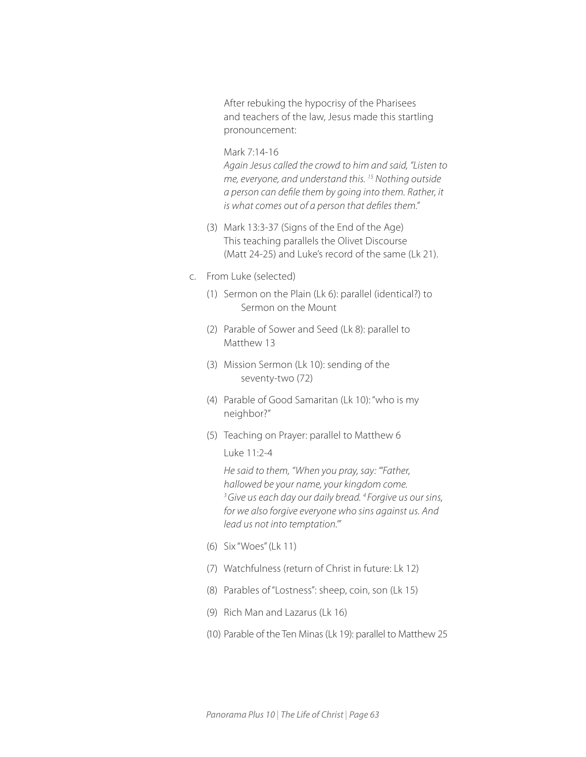After rebuking the hypocrisy of the Pharisees and teachers of the law, Jesus made this startling pronouncement:

## Mark 7:14-16

*Again Jesus called the crowd to him and said, "Listen to me, everyone, and understand this. 15 Nothing outside a person can defile them by going into them. Rather, it is what comes out of a person that defiles them."*

- (3) Mark 13:3-37 (Signs of the End of the Age) This teaching parallels the Olivet Discourse (Matt 24-25) and Luke's record of the same (Lk 21).
- c. From Luke (selected)
	- (1) Sermon on the Plain (Lk 6): parallel (identical?) to Sermon on the Mount
	- (2) Parable of Sower and Seed (Lk 8): parallel to Matthew 13
	- (3) Mission Sermon (Lk 10): sending of the seventy-two (72)
	- (4) Parable of Good Samaritan (Lk 10): "who is my neighbor?"
	- (5) Teaching on Prayer: parallel to Matthew 6
		- Luke 11:2-4

*He said to them, "When you pray, say: "'Father, hallowed be your name, your kingdom come. 3 Give us each day our daily bread. 4 Forgive us our sins, for we also forgive everyone who sins against us. And lead us not into temptation.'"* 

- (6) Six "Woes" (Lk 11)
- (7) Watchfulness (return of Christ in future: Lk 12)
- (8) Parables of "Lostness": sheep, coin, son (Lk 15)
- (9) Rich Man and Lazarus (Lk 16)
- (10) Parable of the Ten Minas (Lk 19): parallel to Matthew 25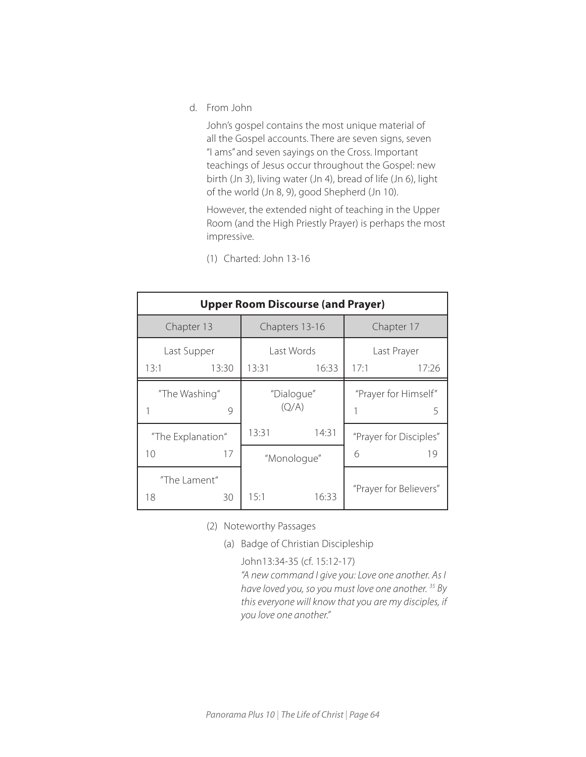d. From John

John's gospel contains the most unique material of all the Gospel accounts. There are seven signs, seven "I ams" and seven sayings on the Cross. Important teachings of Jesus occur throughout the Gospel: new birth (Jn 3), living water (Jn 4), bread of life (Jn 6), light of the world (Jn 8, 9), good Shepherd (Jn 10).

However, the extended night of teaching in the Upper Room (and the High Priestly Prayer) is perhaps the most impressive.

(1) Charted: John 13-16

| <b>Upper Room Discourse (and Prayer)</b> |       |                     |       |                           |                        |  |  |
|------------------------------------------|-------|---------------------|-------|---------------------------|------------------------|--|--|
| Chapter 13                               |       | Chapters 13-16      |       | Chapter 17                |                        |  |  |
| Last Supper                              |       | Last Words          |       | Last Prayer               |                        |  |  |
| 13:1                                     | 13:30 | 13:31               | 16:33 | 17:1                      | 17:26                  |  |  |
| "The Washing"                            | 9     | "Dialogue"<br>(Q/A) |       | "Prayer for Himself"<br>5 |                        |  |  |
| "The Explanation"                        |       | 13:31               | 14:31 |                           | "Prayer for Disciples" |  |  |
| 10                                       | 17    | "Monologue"         |       | 6                         | 19                     |  |  |
| "The Lament"<br>18                       | 30    | 15:1                | 16:33 |                           | "Prayer for Believers" |  |  |

(2) Noteworthy Passages

(a) Badge of Christian Discipleship

John13:34-35 (cf. 15:12-17)

*"A new command I give you: Love one another. As I have loved you, so you must love one another. 35 By this everyone will know that you are my disciples, if you love one another."*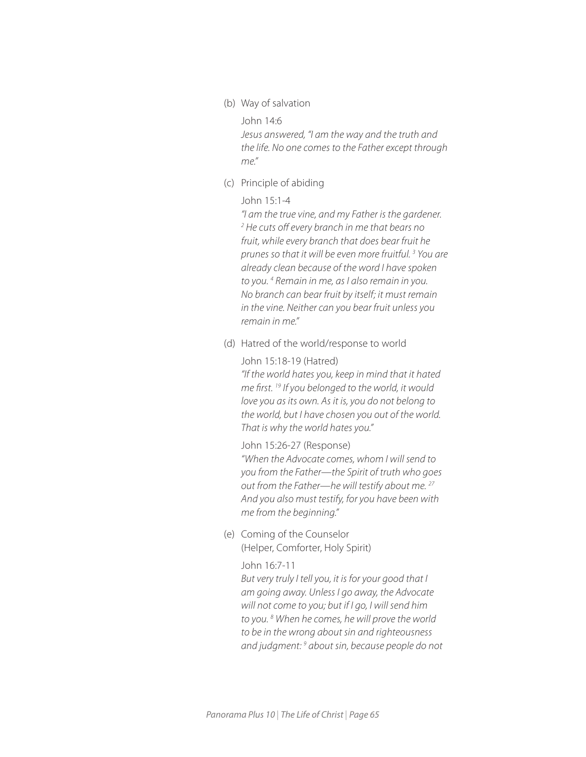(b) Way of salvation

John 14:6

*Jesus answered, "I am the way and the truth and the life. No one comes to the Father except through me."*

(c) Principle of abiding

#### John 15:1-4

*"I am the true vine, and my Father is the gardener. 2 He cuts off every branch in me that bears no fruit, while every branch that does bear fruit he prunes so that it will be even more fruitful. 3 You are already clean because of the word I have spoken to you. 4 Remain in me, as I also remain in you. No branch can bear fruit by itself; it must remain in the vine. Neither can you bear fruit unless you remain in me."* 

(d) Hatred of the world/response to world

John 15:18-19 (Hatred) *"If the world hates you, keep in mind that it hated me first. 19 If you belonged to the world, it would love you as its own. As it is, you do not belong to the world, but I have chosen you out of the world. That is why the world hates you."* 

John 15:26-27 (Response)

*"When the Advocate comes, whom I will send to you from the Father—the Spirit of truth who goes out from the Father—he will testify about me. 27 And you also must testify, for you have been with me from the beginning."* 

(e) Coming of the Counselor (Helper, Comforter, Holy Spirit)

#### John 16:7-11

*But very truly I tell you, it is for your good that I am going away. Unless I go away, the Advocate will not come to you; but if I go, I will send him to you. 8 When he comes, he will prove the world to be in the wrong about sin and righteousness and judgment: 9 about sin, because people do not*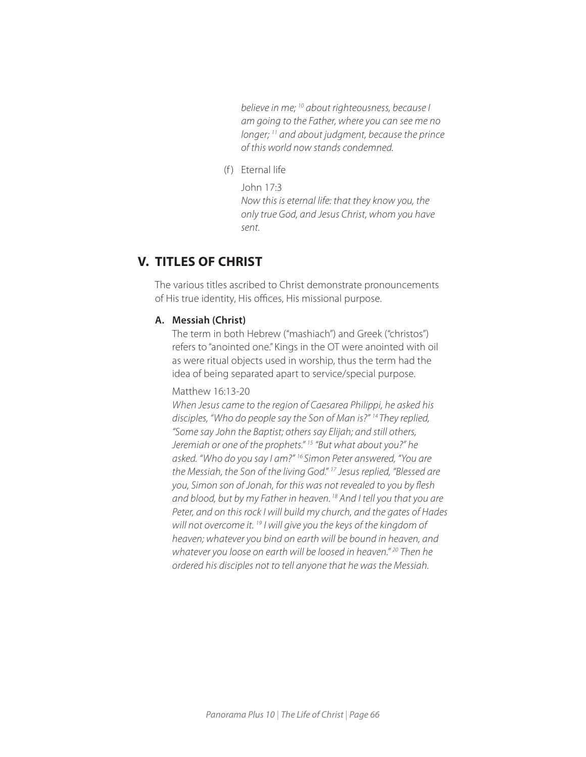*believe in me; 10 about righteousness, because I am going to the Father, where you can see me no longer; 11 and about judgment, because the prince of this world now stands condemned.*

(f) Eternal life

John 17:3

*Now this is eternal life: that they know you, the only true God, and Jesus Christ, whom you have sent.* 

# **V. TITLES OF CHRIST**

The various titles ascribed to Christ demonstrate pronouncements of His true identity, His offices, His missional purpose.

## **A. Messiah (Christ)**

The term in both Hebrew ("mashiach") and Greek ("christos") refers to "anointed one." Kings in the OT were anointed with oil as were ritual objects used in worship, thus the term had the idea of being separated apart to service/special purpose.

#### Matthew 16:13-20

*When Jesus came to the region of Caesarea Philippi, he asked his disciples, "Who do people say the Son of Man is?" 14 They replied, "Some say John the Baptist; others say Elijah; and still others, Jeremiah or one of the prophets." 15 "But what about you?" he asked. "Who do you say I am?" 16 Simon Peter answered, "You are the Messiah, the Son of the living God." 17 Jesus replied, "Blessed are you, Simon son of Jonah, for this was not revealed to you by flesh and blood, but by my Father in heaven. 18 And I tell you that you are Peter, and on this rock I will build my church, and the gates of Hades will not overcome it. 19 I will give you the keys of the kingdom of heaven; whatever you bind on earth will be bound in heaven, and whatever you loose on earth will be loosed in heaven." 20 Then he ordered his disciples not to tell anyone that he was the Messiah.*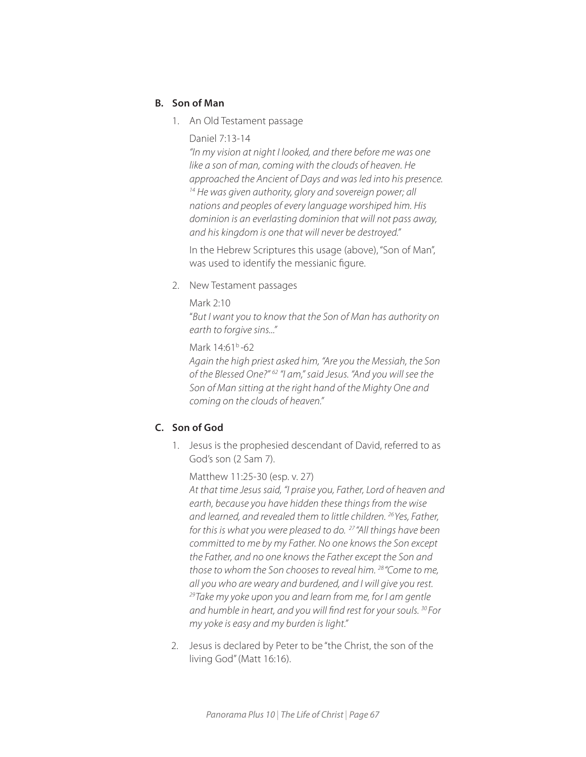## **B. Son of Man**

- 1. An Old Testament passage
	- Daniel 7:13-14

*"In my vision at night I looked, and there before me was one like a son of man, coming with the clouds of heaven. He approached the Ancient of Days and was led into his presence. 14 He was given authority, glory and sovereign power; all nations and peoples of every language worshiped him. His dominion is an everlasting dominion that will not pass away, and his kingdom is one that will never be destroyed."*

In the Hebrew Scriptures this usage (above), "Son of Man", was used to identify the messianic figure.

2. New Testament passages

Mark 2:10

"*But I want you to know that the Son of Man has authority on earth to forgive sins..."*

Mark 14:61b *-*62

*Again the high priest asked him, "Are you the Messiah, the Son of the Blessed One?" 62 "I am," said Jesus. "And you will see the Son of Man sitting at the right hand of the Mighty One and coming on the clouds of heaven."* 

## **C. Son of God**

1. Jesus is the prophesied descendant of David, referred to as God's son (2 Sam 7).

Matthew 11:25-30 (esp. v. 27)

*At that time Jesus said, "I praise you, Father, Lord of heaven and earth, because you have hidden these things from the wise and learned, and revealed them to little children. 26 Yes, Father, for this is what you were pleased to do. 27 "All things have been committed to me by my Father. No one knows the Son except the Father, and no one knows the Father except the Son and those to whom the Son chooses to reveal him. 28 "Come to me, all you who are weary and burdened, and I will give you rest. 29 Take my yoke upon you and learn from me, for I am gentle and humble in heart, and you will find rest for your souls. 30 For my yoke is easy and my burden is light."* 

2. Jesus is declared by Peter to be "the Christ, the son of the living God" (Matt 16:16).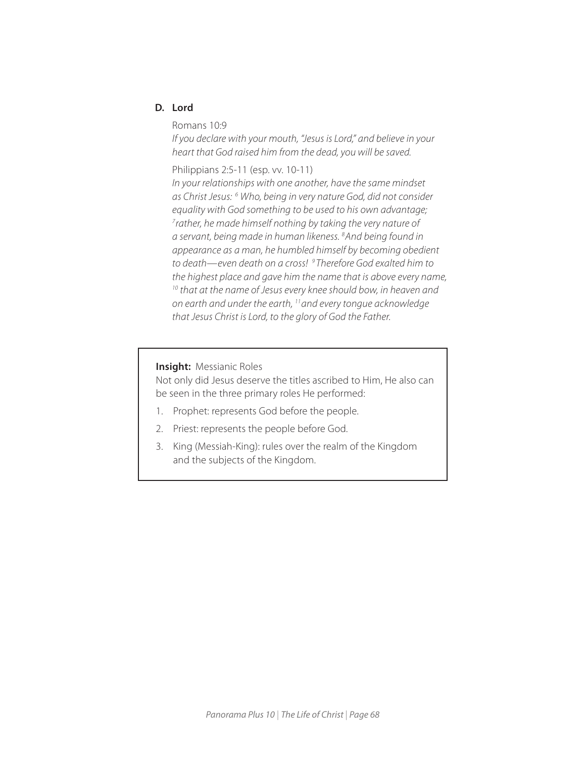## **D. Lord**

Romans 10:9

*If you declare with your mouth, "Jesus is Lord," and believe in your heart that God raised him from the dead, you will be saved.* 

## Philippians 2:5-11 (esp. vv. 10-11)

*In your relationships with one another, have the same mindset as Christ Jesus: 6 Who, being in very nature God, did not consider equality with God something to be used to his own advantage; 7 rather, he made himself nothing by taking the very nature of a servant, being made in human likeness. 8 And being found in appearance as a man, he humbled himself by becoming obedient to death—even death on a cross! 9 Therefore God exalted him to the highest place and gave him the name that is above every name, 10 that at the name of Jesus every knee should bow, in heaven and on earth and under the earth, 11 and every tongue acknowledge that Jesus Christ is Lord, to the glory of God the Father.* 

#### **Insight:** Messianic Roles

.

Not only did Jesus deserve the titles ascribed to Him, He also can be seen in the three primary roles He performed:

- 1. Prophet: represents God before the people.
- 2. Priest: represents the people before God.
- 3. King (Messiah-King): rules over the realm of the Kingdom and the subjects of the Kingdom.